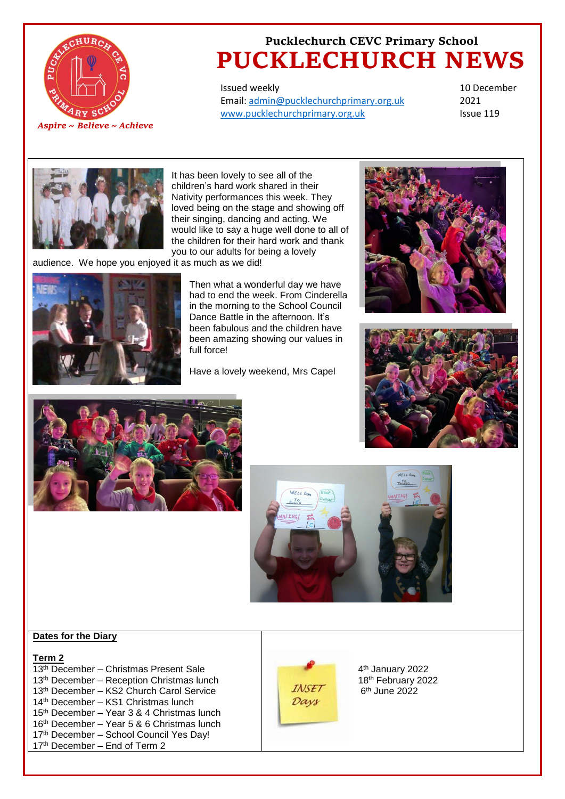

# **Pucklechurch CEVC Primary School PUCKLECHURCH NEWS**

Issued weekly Email: [admin@pucklechurchprimary.org.uk](mailto:admin@pucklechurchprimary.org.uk) [www.pucklechurchprimary.org.uk](http://www.pucklechurchprimary.org.uk/)

10 December 2021 Issue 119



It has been lovely to see all of the children's hard work shared in their Nativity performances this week. They loved being on the stage and showing off their singing, dancing and acting. We would like to say a huge well done to all of the children for their hard work and thank you to our adults for being a lovely

audience. We hope you enjoyed it as much as we did!



Then what a wonderful day we have had to end the week. From Cinderella in the morning to the School Council Dance Battle in the afternoon. It's been fabulous and the children have been amazing showing our values in full force!

Have a lovely weekend, Mrs Capel









### **Dates for the Diary**

#### **Term 2**

- 13<sup>th</sup> December Christmas Present Sale 13th December – Reception Christmas lunch 13th December – KS2 Church Carol Service 14th December – KS1 Christmas lunch 15th December – Year 3 & 4 Christmas lunch
- 16th December Year 5 & 6 Christmas lunch
- 17<sup>th</sup> December School Council Yes Day!
- 17<sup>th</sup> December End of Term 2



4 th January 2022 18th February 2022 6 th June 2022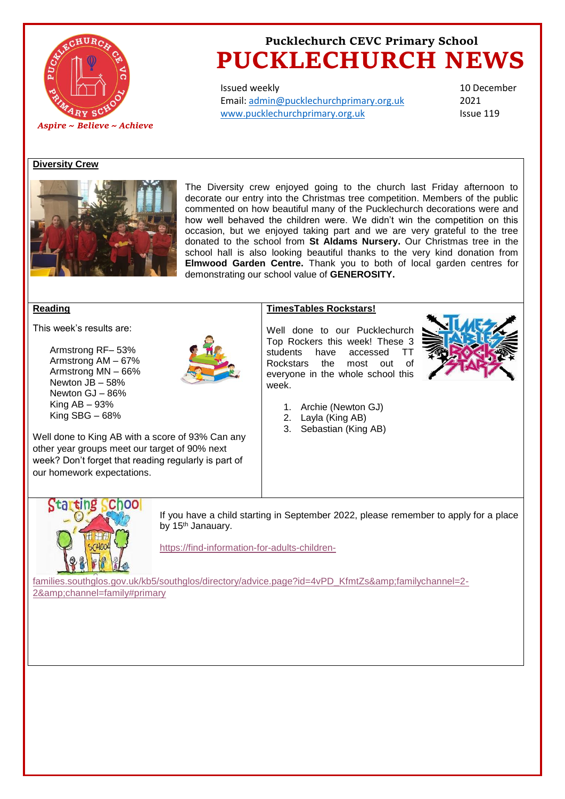

# **Pucklechurch CEVC Primary School PUCKLECHURCH NEWS**

Issued weekly Email: [admin@pucklechurchprimary.org.uk](mailto:admin@pucklechurchprimary.org.uk) [www.pucklechurchprimary.org.uk](http://www.pucklechurchprimary.org.uk/)

10 December 2021 Issue 119

### **Diversity Crew**



The Diversity crew enjoyed going to the church last Friday afternoon to decorate our entry into the Christmas tree competition. Members of the public commented on how beautiful many of the Pucklechurch decorations were and how well behaved the children were. We didn't win the competition on this occasion, but we enjoyed taking part and we are very grateful to the tree donated to the school from **St Aldams Nursery.** Our Christmas tree in the school hall is also looking beautiful thanks to the very kind donation from **Elmwood Garden Centre.** Thank you to both of local garden centres for demonstrating our school value of **GENEROSITY.**

#### **Reading**

This week's results are:

Armstrong RF– 53% Armstrong AM – 67% Armstrong MN – 66% Newton JB – 58% Newton GJ – 86% King  $AB - 93%$ King SBG – 68%



### **TimesTables Rockstars!**

Well done to our Pucklechurch Top Rockers this week! These 3 students have accessed TT Rockstars the most out of everyone in the whole school this week.



- 1. Archie (Newton GJ)
- 2. Layla (King AB)
- 3. Sebastian (King AB)

Well done to King AB with a score of 93% Can any other year groups meet our target of 90% next week? Don't forget that reading regularly is part of our homework expectations.



If you have a child starting in September 2022, please remember to apply for a place by 15<sup>th</sup> Janauary.

[https://find-information-for-adults-children-](https://find-information-for-adults-children-families.southglos.gov.uk/kb5/southglos/directory/advice.page?id=4vPD_KfmtZs&familychannel=2-2&channel=family#primary)

[families.southglos.gov.uk/kb5/southglos/directory/advice.page?id=4vPD\\_KfmtZs&familychannel=2-](https://find-information-for-adults-children-families.southglos.gov.uk/kb5/southglos/directory/advice.page?id=4vPD_KfmtZs&familychannel=2-2&channel=family#primary) 2&amp:channel=family#primary